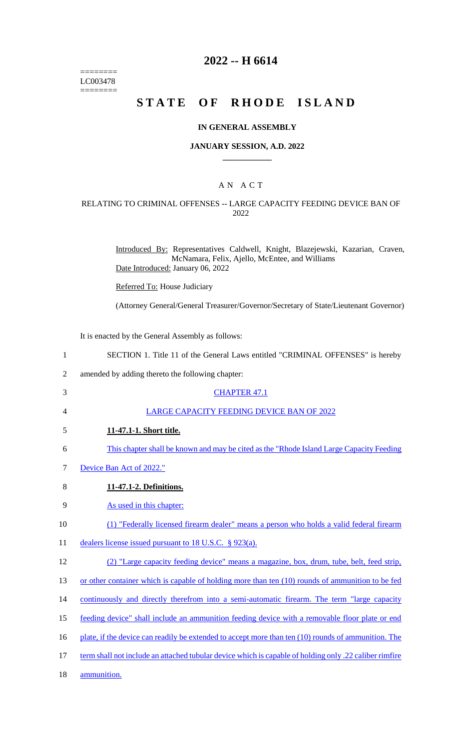======== LC003478  $=$ 

# **2022 -- H 6614**

# **STATE OF RHODE ISLAND**

#### **IN GENERAL ASSEMBLY**

#### **JANUARY SESSION, A.D. 2022 \_\_\_\_\_\_\_\_\_\_\_\_**

## A N A C T

#### RELATING TO CRIMINAL OFFENSES -- LARGE CAPACITY FEEDING DEVICE BAN OF 2022

Introduced By: Representatives Caldwell, Knight, Blazejewski, Kazarian, Craven, McNamara, Felix, Ajello, McEntee, and Williams Date Introduced: January 06, 2022

Referred To: House Judiciary

(Attorney General/General Treasurer/Governor/Secretary of State/Lieutenant Governor)

It is enacted by the General Assembly as follows:

| $\mathbf{1}$   | SECTION 1. Title 11 of the General Laws entitled "CRIMINAL OFFENSES" is hereby                         |
|----------------|--------------------------------------------------------------------------------------------------------|
| $\overline{2}$ | amended by adding thereto the following chapter:                                                       |
| 3              | <b>CHAPTER 47.1</b>                                                                                    |
| 4              | LARGE CAPACITY FEEDING DEVICE BAN OF 2022                                                              |
| 5              | 11-47.1-1. Short title.                                                                                |
| 6              | This chapter shall be known and may be cited as the "Rhode Island Large Capacity Feeding"              |
| 7              | Device Ban Act of 2022."                                                                               |
| 8              | 11-47.1-2. Definitions.                                                                                |
| 9              | As used in this chapter:                                                                               |
| 10             | (1) "Federally licensed firearm dealer" means a person who holds a valid federal firearm               |
| 11             | dealers license issued pursuant to 18 U.S.C. § 923(a).                                                 |
| 12             | (2) "Large capacity feeding device" means a magazine, box, drum, tube, belt, feed strip,               |
| 13             | or other container which is capable of holding more than ten (10) rounds of ammunition to be fed       |
| 14             | continuously and directly therefrom into a semi-automatic firearm. The term "large capacity"           |
| 15             | feeding device" shall include an ammunition feeding device with a removable floor plate or end         |
| 16             | plate, if the device can readily be extended to accept more than ten (10) rounds of ammunition. The    |
| 17             | term shall not include an attached tubular device which is capable of holding only .22 caliber rimfire |
| 18             | ammunition.                                                                                            |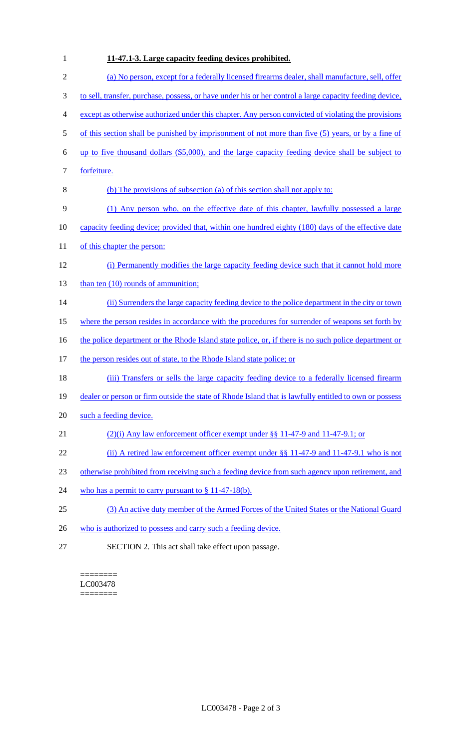| $\mathbf{1}$   | 11-47.1-3. Large capacity feeding devices prohibited.                                                   |
|----------------|---------------------------------------------------------------------------------------------------------|
| $\overline{2}$ | (a) No person, except for a federally licensed firearms dealer, shall manufacture, sell, offer          |
| 3              | to sell, transfer, purchase, possess, or have under his or her control a large capacity feeding device, |
| 4              | except as otherwise authorized under this chapter. Any person convicted of violating the provisions     |
| 5              | of this section shall be punished by imprisonment of not more than five (5) years, or by a fine of      |
| 6              | up to five thousand dollars (\$5,000), and the large capacity feeding device shall be subject to        |
| 7              | forfeiture.                                                                                             |
| 8              | (b) The provisions of subsection (a) of this section shall not apply to:                                |
| 9              | (1) Any person who, on the effective date of this chapter, lawfully possessed a large                   |
| 10             | capacity feeding device; provided that, within one hundred eighty (180) days of the effective date      |
| 11             | of this chapter the person:                                                                             |
| 12             | (i) Permanently modifies the large capacity feeding device such that it cannot hold more                |
| 13             | than ten $(10)$ rounds of ammunition;                                                                   |
| 14             | (ii) Surrenders the large capacity feeding device to the police department in the city or town          |
| 15             | where the person resides in accordance with the procedures for surrender of weapons set forth by        |
| 16             | the police department or the Rhode Island state police, or, if there is no such police department or    |
| 17             | the person resides out of state, to the Rhode Island state police; or                                   |
| 18             | (iii) Transfers or sells the large capacity feeding device to a federally licensed firearm              |
| 19             | dealer or person or firm outside the state of Rhode Island that is lawfully entitled to own or possess  |
| 20             | such a feeding device.                                                                                  |
| 21             | $(2)(i)$ Any law enforcement officer exempt under §§ 11-47-9 and 11-47-9.1; or                          |
| 22             | (ii) A retired law enforcement officer exempt under $\S$ § 11-47-9 and 11-47-9.1 who is not             |
| 23             | otherwise prohibited from receiving such a feeding device from such agency upon retirement, and         |
| 24             | who has a permit to carry pursuant to $\S$ 11-47-18(b).                                                 |
| 25             | (3) An active duty member of the Armed Forces of the United States or the National Guard                |
| 26             | who is authorized to possess and carry such a feeding device.                                           |
| 27             | SECTION 2. This act shall take effect upon passage.                                                     |

#### $=$ LC003478 ========